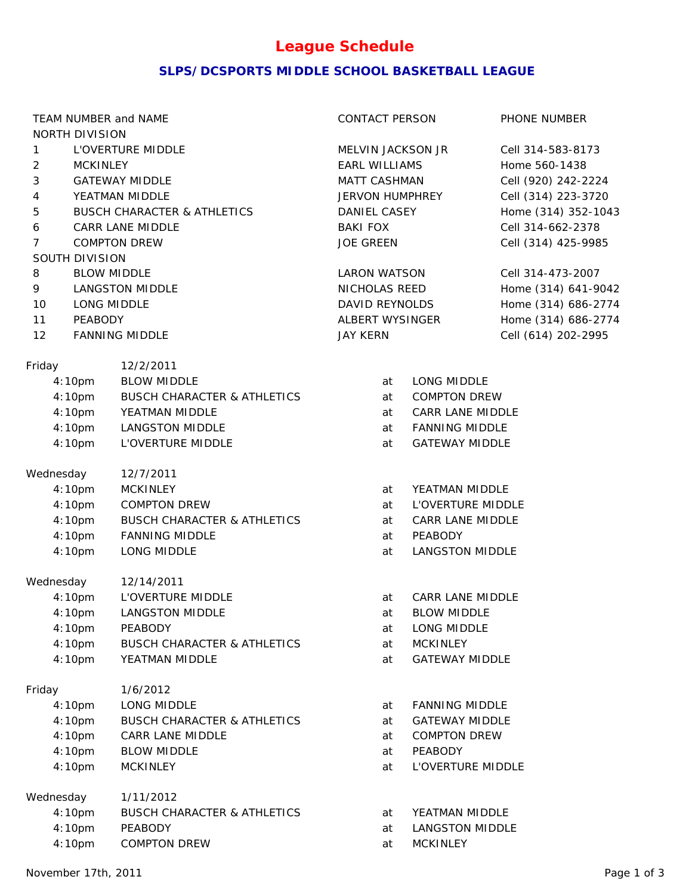# **League Schedule**

### **SLPS/DCSPORTS MIDDLE SCHOOL BASKETBALL LEAGUE**

| TEAM NUMBER and NAME                  |                                        | CONTACT PERSON                       | PHONE NUMBER                           |  |  |
|---------------------------------------|----------------------------------------|--------------------------------------|----------------------------------------|--|--|
| NORTH DIVISION                        |                                        | MELVIN JACKSON JR                    |                                        |  |  |
|                                       | L'OVERTURE MIDDLE<br>$\mathbf{1}$      |                                      | Cell 314-583-8173                      |  |  |
| <b>MCKINLEY</b><br>$\overline{2}$     |                                        | <b>EARL WILLIAMS</b><br>MATT CASHMAN | Home 560-1438                          |  |  |
|                                       | 3<br><b>GATEWAY MIDDLE</b>             |                                      | Cell (920) 242-2224                    |  |  |
| 4                                     | YEATMAN MIDDLE                         |                                      | Cell (314) 223-3720<br>JERVON HUMPHREY |  |  |
| 5                                     | <b>BUSCH CHARACTER &amp; ATHLETICS</b> | DANIEL CASEY                         | Home (314) 352-1043                    |  |  |
| 6                                     | CARR LANE MIDDLE                       |                                      | Cell 314-662-2378                      |  |  |
| <b>COMPTON DREW</b><br>$\overline{7}$ |                                        | JOE GREEN                            | Cell (314) 425-9985                    |  |  |
| SOUTH DIVISION                        |                                        |                                      |                                        |  |  |
| 8                                     | <b>BLOW MIDDLE</b>                     | <b>LARON WATSON</b>                  | Cell 314-473-2007                      |  |  |
| 9                                     | <b>LANGSTON MIDDLE</b>                 |                                      | Home (314) 641-9042                    |  |  |
| 10<br>LONG MIDDLE                     |                                        | DAVID REYNOLDS                       | Home (314) 686-2774                    |  |  |
| 11<br>PEABODY                         |                                        | ALBERT WYSINGER                      | Home (314) 686-2774                    |  |  |
| 12                                    | <b>FANNING MIDDLE</b>                  | <b>JAY KERN</b>                      | Cell (614) 202-2995                    |  |  |
|                                       |                                        |                                      |                                        |  |  |
| Friday                                | 12/2/2011                              |                                      |                                        |  |  |
| 4:10pm                                | <b>BLOW MIDDLE</b>                     | at                                   | LONG MIDDLE                            |  |  |
| 4:10pm                                | <b>BUSCH CHARACTER &amp; ATHLETICS</b> | at                                   | <b>COMPTON DREW</b>                    |  |  |
| 4:10pm                                | YEATMAN MIDDLE                         | at                                   | CARR LANE MIDDLE                       |  |  |
| 4:10 <sub>pm</sub>                    | <b>LANGSTON MIDDLE</b>                 | at                                   | <b>FANNING MIDDLE</b>                  |  |  |
| 4:10pm                                | L'OVERTURE MIDDLE                      | at                                   | <b>GATEWAY MIDDLE</b>                  |  |  |
| Wednesday                             | 12/7/2011                              |                                      |                                        |  |  |
| 4:10pm                                | <b>MCKINLEY</b>                        | at                                   | YEATMAN MIDDLE                         |  |  |
| 4:10pm                                | COMPTON DREW                           | at                                   | L'OVERTURE MIDDLE                      |  |  |
| 4:10pm                                | <b>BUSCH CHARACTER &amp; ATHLETICS</b> | at                                   | CARR LANE MIDDLE                       |  |  |
| 4:10pm                                | <b>FANNING MIDDLE</b>                  | at                                   | PEABODY                                |  |  |
| 4:10pm                                | LONG MIDDLE                            | at                                   | <b>LANGSTON MIDDLE</b>                 |  |  |
|                                       |                                        |                                      |                                        |  |  |
| Wednesday                             | 12/14/2011                             |                                      |                                        |  |  |
| 4:10pm                                | L'OVERTURE MIDDLE                      | at                                   | CARR LANE MIDDLE                       |  |  |
| 4:10pm                                | <b>LANGSTON MIDDLE</b>                 | at                                   | <b>BLOW MIDDLE</b>                     |  |  |
| 4:10pm                                | PEABODY                                | at                                   | LONG MIDDLE                            |  |  |
| 4:10pm                                | <b>BUSCH CHARACTER &amp; ATHLETICS</b> | at                                   | <b>MCKINLEY</b>                        |  |  |
| 4:10pm                                | YEATMAN MIDDLE                         | at                                   | <b>GATEWAY MIDDLE</b>                  |  |  |
| Friday                                | 1/6/2012                               |                                      |                                        |  |  |
| 4:10pm                                | LONG MIDDLE                            | at                                   | <b>FANNING MIDDLE</b>                  |  |  |
| 4:10pm                                | <b>BUSCH CHARACTER &amp; ATHLETICS</b> | at                                   | <b>GATEWAY MIDDLE</b>                  |  |  |
| 4:10pm                                | CARR LANE MIDDLE                       | at                                   | <b>COMPTON DREW</b>                    |  |  |
|                                       |                                        |                                      | PEABODY                                |  |  |
| 4:10pm                                | <b>BLOW MIDDLE</b>                     | at                                   |                                        |  |  |
| 4:10pm                                | <b>MCKINLEY</b>                        | at                                   | L'OVERTURE MIDDLE                      |  |  |
| Wednesday                             | 1/11/2012                              |                                      |                                        |  |  |
| 4:10pm                                | <b>BUSCH CHARACTER &amp; ATHLETICS</b> | at                                   | YEATMAN MIDDLE                         |  |  |
| 4:10pm                                | PEABODY                                | at                                   | <b>LANGSTON MIDDLE</b>                 |  |  |
| 4:10pm                                | COMPTON DREW                           | at                                   | <b>MCKINLEY</b>                        |  |  |
|                                       |                                        |                                      |                                        |  |  |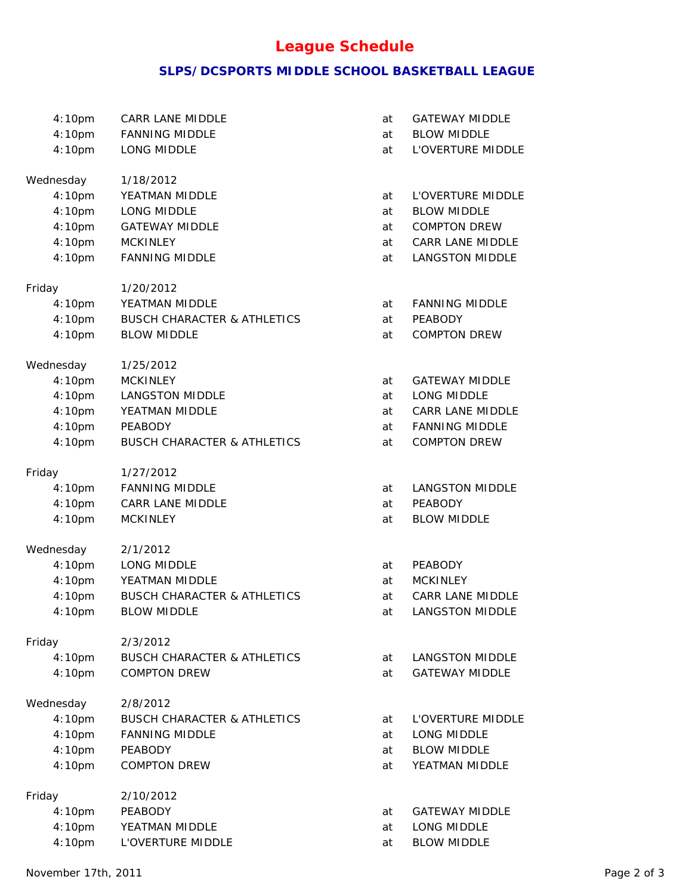# **League Schedule**

### **SLPS/DCSPORTS MIDDLE SCHOOL BASKETBALL LEAGUE**

| 4:10pm              | CARR LANE MIDDLE                       | at       | <b>GATEWAY MIDDLE</b>  |  |
|---------------------|----------------------------------------|----------|------------------------|--|
| 4:10pm              | <b>FANNING MIDDLE</b>                  | at       | <b>BLOW MIDDLE</b>     |  |
| 4:10pm              | LONG MIDDLE                            | at       | L'OVERTURE MIDDLE      |  |
|                     |                                        |          |                        |  |
| Wednesday           | 1/18/2012                              |          |                        |  |
| 4:10pm              | YEATMAN MIDDLE                         | at       | L'OVERTURE MIDDLE      |  |
| 4:10pm              | LONG MIDDLE                            | at       | <b>BLOW MIDDLE</b>     |  |
| 4:10pm              | <b>GATEWAY MIDDLE</b>                  | at       | COMPTON DREW           |  |
| 4:10pm              | <b>MCKINLEY</b>                        | at       | CARR LANE MIDDLE       |  |
| 4:10pm              | <b>FANNING MIDDLE</b>                  | at       | <b>LANGSTON MIDDLE</b> |  |
| Friday              | 1/20/2012                              |          |                        |  |
| 4:10pm              | YEATMAN MIDDLE                         | at       | <b>FANNING MIDDLE</b>  |  |
| 4:10pm              | <b>BUSCH CHARACTER &amp; ATHLETICS</b> | at       | PEABODY                |  |
| 4:10pm              | <b>BLOW MIDDLE</b>                     | at       | <b>COMPTON DREW</b>    |  |
| Wednesday           | 1/25/2012                              |          |                        |  |
| 4:10pm              | <b>MCKINLEY</b>                        | at       | <b>GATEWAY MIDDLE</b>  |  |
| 4:10pm              | LANGSTON MIDDLE                        | at       | LONG MIDDLE            |  |
| 4:10pm              | YEATMAN MIDDLE                         | at       | CARR LANE MIDDLE       |  |
| 4:10pm              | PEABODY                                | at       | <b>FANNING MIDDLE</b>  |  |
| 4:10pm              | <b>BUSCH CHARACTER &amp; ATHLETICS</b> | at       | <b>COMPTON DREW</b>    |  |
| Friday              | 1/27/2012                              |          |                        |  |
| 4:10pm              | <b>FANNING MIDDLE</b>                  | at       | <b>LANGSTON MIDDLE</b> |  |
| 4:10pm              | CARR LANE MIDDLE                       | at       | PEABODY                |  |
| 4:10pm              | <b>MCKINLEY</b>                        | at       | <b>BLOW MIDDLE</b>     |  |
| Wednesday           | 2/1/2012                               |          |                        |  |
| 4:10pm              | LONG MIDDLE                            | at       | PEABODY                |  |
| 4:10pm              | YEATMAN MIDDLE                         | at       | <b>MCKINLEY</b>        |  |
| 4:10pm              | <b>BUSCH CHARACTER &amp; ATHLETICS</b> | at       | CARR LANE MIDDLE       |  |
| 4:10pm              | <b>BLOW MIDDLE</b>                     | at       | <b>LANGSTON MIDDLE</b> |  |
| Friday              | 2/3/2012                               |          |                        |  |
| 4:10pm              | <b>BUSCH CHARACTER &amp; ATHLETICS</b> | at       | <b>LANGSTON MIDDLE</b> |  |
| 4:10pm              | <b>COMPTON DREW</b>                    | at       | <b>GATEWAY MIDDLE</b>  |  |
|                     | 2/8/2012                               |          |                        |  |
| Wednesday<br>4:10pm | <b>BUSCH CHARACTER &amp; ATHLETICS</b> | at       | L'OVERTURE MIDDLE      |  |
| 4:10pm              | <b>FANNING MIDDLE</b>                  | at       | LONG MIDDLE            |  |
|                     | PEABODY                                |          | <b>BLOW MIDDLE</b>     |  |
| 4:10pm<br>4:10pm    | <b>COMPTON DREW</b>                    | at<br>at | YEATMAN MIDDLE         |  |
|                     |                                        |          |                        |  |
| Friday              | 2/10/2012                              |          |                        |  |
| 4:10pm              | PEABODY                                | at       | <b>GATEWAY MIDDLE</b>  |  |
| 4:10pm              | YEATMAN MIDDLE                         | at       | LONG MIDDLE            |  |
| 4:10pm              | L'OVERTURE MIDDLE                      | at       | <b>BLOW MIDDLE</b>     |  |